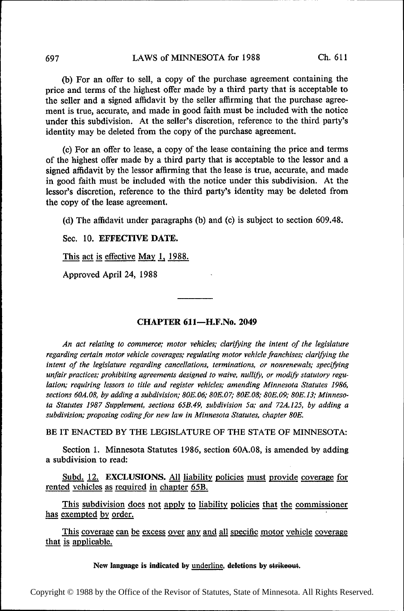## 697 LAWS of MINNESOTA for 1988 Ch. 611

(b) For an offer to sell, a copy of the purchase agreement containing the price and terms of the highest offer made by a third party that is acceptable to the seller and a signed affidavit by the seller affirming that the purchase agreement is true, accurate, and made in good faith must be included with the notice under this subdivision. At the seller's discretion, reference to the third party's identity may be deleted from the copy of the purchase agreement.

(c) For an offer to lease, a copy of the lease containing the price and terms of the highest offer made by a third party that is acceptable to the lessor and a signed affidavit by the lessor affirming that the lease is true, accurate, and made in good faith must be included with the notice under this subdivision. At the lessor's discretion, reference to the third party's identity may be deleted from the copy of the lease agreement.

((1) The aflidavit under paragraphs (b) and (c) is subject to section 609.48.

Sec. 10. EFFECTIVE DATE.

This act is effective May 1, 1988.

Approved April 24, 1988

### CHAPTER 6l1—H.F.No. 2049

An act relating to commerce; motor vehicles; clarifjving the intent of the legislature regarding certain motor vehicle coverages; regulating motor vehicle franchises; clarifying the intent of the legislature regarding cancellations, terminations, or nonrenewals; specifying unfair practices; prohibiting agreements designed to waive. nullify, or modify statutory regulation; requiring lessors to title and register vehicles; amending Minnesota Statutes 1986, sections 60A.08, by adding a subdivision; 80E.06; 80E.07; 80E.08; 80E.09; 80E.13; Minnesota Statutes 1987 Supplement, sections 65B.49, subdivision 5a; and 72A.125, by adding a subdivision; proposing coding for new law in Minnesota Statutes, chapter 80E.

BE IT ENACTED BY THE LEGISLATURE OF THE STATE OF MINNESOTA:

Section 1. Minnesota Statutes 1986, section 6OA.08, is amended by adding a subdivision to read:

Subd. 12. EXCLUSIONS. All liability policies must provide coverage for rented vehicles as required in chapter 65B.

This subdivision does not apply to liability policies that the commissioner has exempted by order.

This coverage can be excess over any and all specific motor vehicle coverage that is applicable.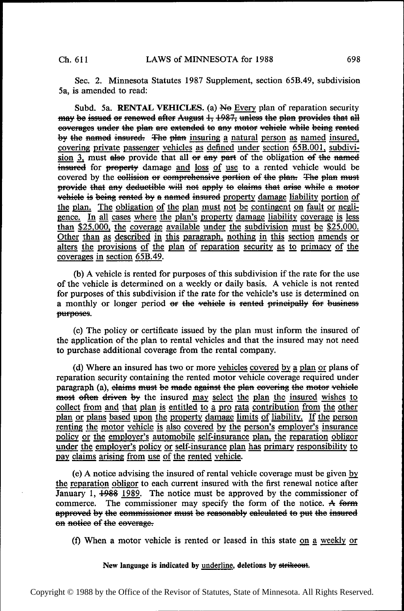Sec. 2. Minnesota Statutes 1987 Supplement, section 65B.49, subdivision 5a, is amended to read:

Subd. 5a. RENTAL VEHICLES. (a) No Every plan of reparation security may be issued or renewed after August 1, 1987, unless the plan provides that all eoverages under the plan are extended to any motor vehiele while being rented by the named insured. The plan insuring a natural person as named insured, covering private passenger vehicles as defined under section  $65B.001$ , subdivision  $\frac{3}{1}$  must also provide that all or any part of the obligation of the named insured for property damage and loss of use to a rented vehicle would be **EXECT:**  $\frac{1}{21}$  must also provide that an or any part of the obligation or the named insured for property damage <u>and loss of use</u> to a rented vehicle would be covered by the collision or comprehensive portion of the p provide that any deductible will not apply to claims that arise while a motor vehicle is being rented by a named insured property damage liability portion of the plan. The obligation of the plan must not be contingent on fault or negligence. In all cases where the plan's property damage liability coverage is less than \$25,000, the coverage available under the subdivision must be \$25,000. Other than as described in this paragraph, nothing in this section amends or alters the provisions of the plan of reparation security as to primacy of the  $coverages$  in section  $65B.49$ .

(b) A vehicle is rented for purposes of this subdivision if the rate for the use of the vehicle is determined on a weekly or daily basis. A vehicle is not rented for purposes of this subdivision if the rate for the vehicle's use is determined on a monthly or longer period or the vehicle is rented principally for business purposes.

(c) The policy or certificate issued by the plan must inform the insured of the application of the plan to rental vehicles and that the insured may not need to purchase additional coverage from the rental company.

(d) Where an insured has two or more vehicles covered by a plan or plans of reparation security containing the rented motor vehicle coverage required under paragraph (a), elaims must be made against the plan eovering the motor vehicle most often driven by the insured may select the plan the insured wishes to collect from and that plan is entitled to a pro rata contribution from the other plan or plans based upon the property damage limits of liability. If the person renting the motor vehicle is also covered by the person's employer's insurance policy or the employer's automobile self-insurance plan, the reparation obligor under the employer's policy or self-insurance plan has primary responsibility to pay claims arising from use of the rented vehicle.

(e) A notice advising the insured of rental vehicle coverage must be given py the reparation obligor to each current insured with the first renewal notice after January 1,  $\frac{1988}{1989}$ . The notice must be approved by the commissioner of commerce. The commissioner may specify the form of the notice. A form approved by the commissioner must be reasonably calculated to put the insured on notice of the coverage.

(f) When a motor vehicle is rented or leased in this state on a weekly or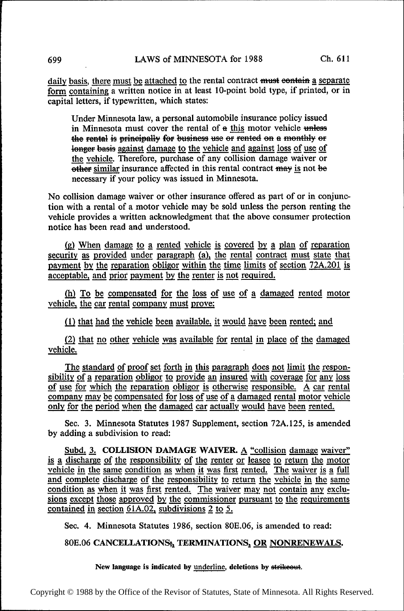daily basis, there must be attached to the rental contract must contain a separate form containing a written notice in at least 10-point bold type, if printed, or in capital letters, if typewritten, which states:

Under Minnesota law, a personal automobile insurance policy issued in Minnesota must cover the rental of a this motor vehicle unless the rental is principally for business use or rented on a monthly or longer basis against damage to the vehicle and against loss of use of the vehicle. Therefore, purchase of any collision damage waiver or other similar insurance affected in this rental contract may is not be necessary if your policy was issued in Minnesota.

No collision damage waiver or other insurance offered as part of or in conjunction with a rental of a motor vehicle may be sold unless the person renting the vehicle provides a written acknowledgment that the above consumer protection notice has been read and understood.

(g) When damage to a rented vehicle is covered by a plan of reparation security as provided under paragraph (a), the rental contract must state that payment by the reparation obligor within the time limits of section 72A.201 is acceptable, and prior payment by the renter is not required.

(h) To be compensated for the loss of use of a damaged rented motor vehicle, the car rental company must prove:

 $(1)$  that had the vehicle been available, it would have been rented; and

(2) that no other vehicle was available for rental in place of the damaged vehicle. venicle.

The standard of proof set forth in this paragraph does not limit the responsibility of a reparation obligor to provide an insured with coverage for any loss The standard of proof set forth in this paragraph does not limit the responsibility of a reparation obligor to provide an insured with coverage for any loss of use for which the reparation obligor is otherwise responsible. company may be compensated for loss of use of a damaged rental motor vehicle only for the period when the damaged car actually would have been rented.

Sec. 3. Minnesota Statutes 1987 Supplement, section 72A.125, is amended by adding a subdivision to read:

Subd. 3. COLLISION DAMAGE WAIVER. A "collision damage waiver" is a discharge of the responsibility of the renter or leasee to return the motor vehicle in the same condition as when it was first rented. The waiver is a full and complete discharge of the responsibility to return the vehicle in the same<br>condition as when it was first rented. The waiver may not contain any exclusions except those approved by the commissioner pursuant to the requirements contained in section  $61A.02$ , subdivisions 2 to 5.

Sec. 4. Minnesota Statutes 1986, section 8OE.06, is amended to read:

## 80E.06 CANCELLATIONS<sub>5</sub>, TERMINATIONS, OR NONRENEWALS.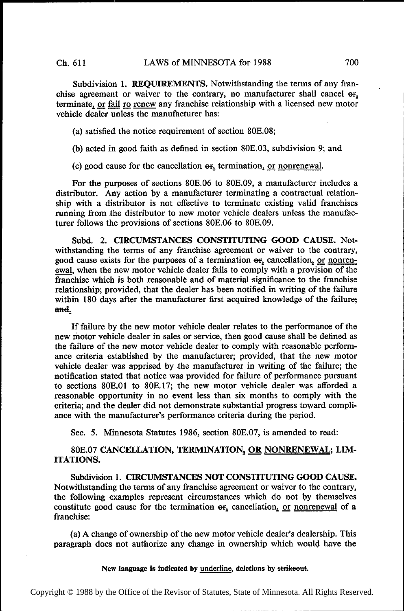Subdivision 1. REQUIREMENTS. Notwithstanding the terms of any franchise agreement or waiver to the contrary, no manufacturer shall cancel or, terminate, or fail ro renew any franchise relationship with a licensed new motor vehicle dealer unless the manufacturer has:

(a) satisfied the notice requirement of section 80E.08;

(b) acted in good faith as defined in section 80E.03, subdivision 9; and

(c) good cause for the cancellation  $er_1$  termination, or nonrenewal.

For the purposes of sections 80E.O6 to 80E.09, a manufacturer includes a distributor. Any action by a manufacturer terminating a contractual relationship with a distributor is not effective to terminate existing valid franchises running from the distributor to new motor vehicle dealers unless the manufacturer follows the provisions of sections 80E.O6 to 80E.09.

Subd. 2. CIRCUMSTANCES CONSTITUTING GOOD CAUSE. Notwithstanding the terms of any franchise agreement or waiver to the contrary, good cause exists for the purposes of a termination  $\Theta$ <sub>r</sub> cancellation, or nonrenewal, when the new motor vehicle dealer fails to comply with a provision of the franchise which is both reasonable and of material significance to the franchise relationship; provided, that the dealer has been notified in writing of the failure within 180 days after the manufacturer first acquired knowledge of the failure; and.

If failure by the new motor vehicle dealer relates to the performance of the new motor vehicle dealer in sales or service, then good cause shall be defined as the failure of the new motor vehicle dealer to comply with reasonable performance criteria established by the manufacturer; provided, that the new motor vehicle dealer was apprised by the manufacturer in writing of the failure; the notification stated that notice was provided for failure of performance pursuant to sections 8OE.0l to 8OE.l7; the new motor vehicle dealer was afforded a reasonable opportunity in no event less than six months to comply with the criteria; and the dealer did not demonstrate substantial progress toward compliance with the manufacturer's performance criteria during the period.

Sec. 5. Minnesota Statutes 1986, section 80E.07, is amended to read:

# 80E.07 CANCELLATION, TERMINATION, OR NONRENEWAL; LIM-ITATIONS.

Subdivision 1. CIRCUMSTANCES NOT CONSTITUTING GOOD CAUSE. Notwithstanding the terms of any franchise agreement or waiver to the contrary, the following examples represent circumstances which do not by themselves constitute good cause for the termination  $\sigma_{f_1}$  cancellation, or nonrenewal of a franchise:

(a) A change of ownership of the new motor vehicle dealer's dealership. This paragraph does not authorize any change in ownership which would have the

#### New language is indicated by underline, deletions by strikeout.

Copyright © 1988 by the Office of the Revisor of Statutes, State of Minnesota. All Rights Reserved.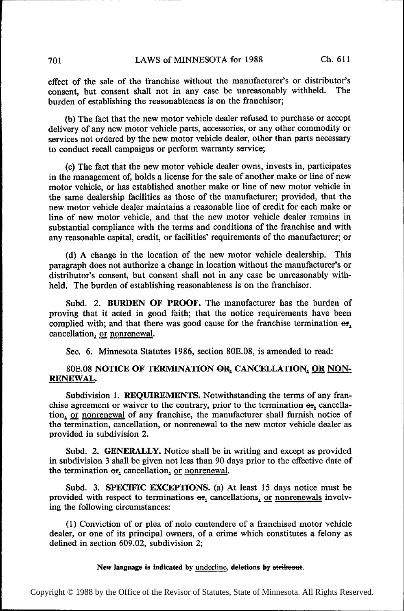effect of the sale of the franchise without the manufacturer's or distributor's consent, but consent shall not in any case be unreasonably withheld. The burden of establishing the reasonableness is on the franchisor;

(b) The fact that the new motor vehicle dealer refused to purchase or accept delivery of any new motor vehicle parts, accessories, or any other commodity or services not ordered by the new motor vehicle dealer, other than parts necessary to conduct recall campaigns or perform warranty service;

(c) The fact that the new motor vehicle dealer owns, invests in, participates in the management of, holds a license for the sale of another make or line of new motor vehicle, or has established another make or line of new motor vehicle in the same dealership facilities as those of the manufacturer; provided, that the new motor vehicle dealer maintains a reasonable line of credit for each make or line of new motor vehicle, and that the new motor vehicle dealer remains in substantial compliance with the terms and conditions of the franchise and with any reasonable capital, credit, or facilities' requirements of the manufacturer; or

(d) A change in the location of the new motor vehicle dealership. This paragraph does not authorize a change in location without the manufacturer's or distributor's consent, but consent shall not in any case be unreasonably withheld. The burden of establishing reasonableness is on the franchisor.

Subd. 2. BURDEN OF PROOF. The manufacturer has the burden of proving that it acted in good faith; that the notice requirements have been complied with; and that there was good cause for the franchise termination  $\Theta$ f, cancellation, or nonrenewal.

Sec. 6. Minnesota Statutes 1986, section 80E.O8, is amended to read:

# 80E.08 NOTICE OF TERMINATION OR, CANCELLATION, OR NON-RENEWAL.

Subdivision 1. REQUIREMENTS. Notwithstanding the terms of any franchise agreement or waiver to the contrary, prior to the termination  $\Theta$ r, cancellation, or nonrenewal of any franchise, the manufacturer shall furnish notice of the termination, cancellation, or nonrenewal to the new motor vehicle dealer as provided in subdivision 2.

Subd. 2. GENERALLY. Notice shall be in writing and except as provided in subdivision 3 shall be given not less than 90 days prior to the effective date of the termination  $er_1$  cancellation, or nonrenewal.

Subd. 3. SPECIFIC EXCEPTIONS. (a) At least 15 days notice must be provided with respect to terminations  $\Theta$ <sub>r</sub> cancellations, or nonrenewals involving the following circumstances:

(1) Conviction of or plea of nolo contendere of a franchised motor vehicle dealer, or one of its principal owners, of a crime which constitutes a felony as defined in section 609.02, subdivision 2;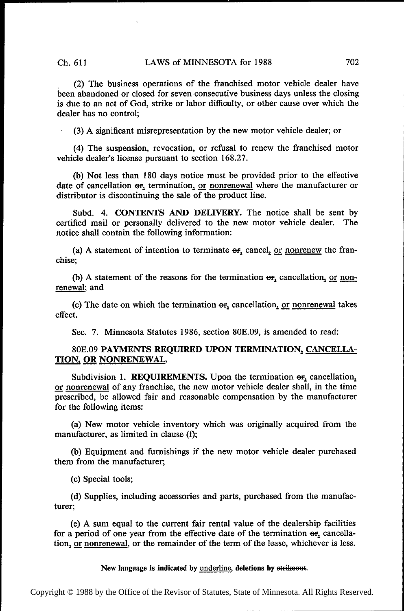\_ (2) The business operations of the franchised motor vehicle dealer have been abandoned or closed for seven consecutive business days unless the closing is due to an act of God, strike or labor difliculty, or other cause over which the dealer has no control;

(3) A significant misrepresentation by the new motor vehicle dealer; or

(4) The suspension, revocation, or refusal to renew the franchised motor vehicle dea1er's license pursuant to section 168.27.

(b) Not less than 180 days notice must be provided prior to the effective date of cancellation  $\Theta$ <sub>r</sub>, termination, or nonrenewal where the manufacturer or distributor is discontinuing the sale of the product line.

Subd. 4. CONTENTS AND DELIVERY. The notice shall be sent by certified mail or personally delivered to the new motor vehicle dealer. The notice shall contain the following information:

(a) A statement of intention to terminate  $\Theta$ <sub>r</sub> cancel, <u>or nonrenew</u> the franchise;

(b) A statement of the reasons for the termination  $\Theta$ , cancellation, or nonrenewal; and

(c) The date on which the termination  $\sigma$ <sub>r</sub>, cancellation, or nonrenewal takes effect.

Sec. 7. Minnesota Statutes 1986, section 80E.09, is amended to read:

# 8OE.09 PAYMENTS REQUIRED UPON TERMINATION, CANCELLA-TION, OR NONRENEWAL.

Subdivision 1. REQUIREMENTS. Upon the termination  $\Theta$ <sup>r</sup><sub>2</sub> cancellation<sub>1</sub> or nonrenewal of any franchise, the new motor vehicle dealer shall, in the time prescribed, be allowed fair and reasonable compensation by the manufacturer for the following items:

(a) New motor vehicle inventory which was originally acquired from the manufacturer, as limited in clause (f);

(b) Equipment and furnishings if the new motor vehicle dealer purchased them from the manufacturer;

(c) Special tools;

(d) Supplies, including accessories and parts, purchased from the manufacturer;

(e) A sum equal to the current fair rental value of the dealership facilities for a period of one year from the effective date of the termination er, cancellation, or nonrenewal, or the remainder of the term of the lease, whichever is less.

#### New language is indicated by underline, deletions by strikeout.

Copyright © 1988 by the Office of the Revisor of Statutes, State of Minnesota. All Rights Reserved.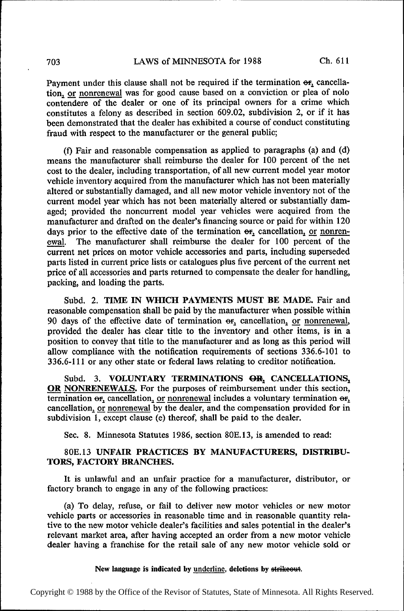Payment under this clause shall not be required if the termination  $\Theta$ <sub>r</sub>, cancellation, or nonrenewal was for good cause based on a conviction or plea of nolo contendere of the dealer or one of its principal owners for a crime which constitutes a felony as described in section 609.02, subdivision 2, or if it has been demonstrated that the dealer has exhibited a course of conduct constituting fraud with respect to the manufacturer or the general public;

(f) Fair and reasonable compensation as applied to paragraphs (a) and (d) means the manufacturer shall reimburse the dealer for 100 percent of the net cost to the dealer, including transportation, of all new current model year motor vehicle inventory acquired from the manufacturer which has not been materially altered or substantially damaged, and all new motor vehicle inventory not of the current model year which has not been materially altered or substantially damaged; provided the noncurrent model year vehicles were acquired from the manufacturer and drafted on the dealer's financing source or paid for within 120 days prior to the effective date of the termination  $\Theta_{2}^{T}$  cancellation, <u>or nonren</u>-<br>ewal. The manufacturer shall reimburse the dealer for 100 percent of the The manufacturer shall reimburse the dealer for 100 percent of the current net prices on motor vehicle accessories and parts, including superseded parts listed in current price lists or catalogues plus five percent of the current net price of all accessories and parts returned to compensate the dealer for handling, packing, and loading the parts.

Subd. 2. TIME IN WHICH PAYMENTS MUST BE MADE. Fair and reasonable compensation shall be paid by the manufacturer when possible within 90 days of the effective date of termination  $er$ , cancellation, or nonrenewal, provided the dealer has clear title to the inventory and other items, is in a position to convey that title to the manufacturer and as long as this period will allow compliance with the notification requirements of sections 336.6-101 to 336.6-111 or any other state or federal laws relating to creditor notification.

Subd. 3. VOLUNTARY TERMINATIONS  $\Theta R_1$  CANCELLATIONS<sub>2</sub> OR NONRENEWALS. For the purposes of reimbursement under this section, termination  $\Theta r_2$  cancellation, <u>or nonrenewal</u> includes a voluntary termination  $\Theta r_1$  can cancellation, or nonrenewal by the dealer, and the compensation provided for in subdivision 1, except clause (e) thereof, shall be paid to the dealer.

Sec. 8. Minnesota Statutes 1986, section 80E.l3, is amended to read:

# 80E.l3 UNFAIR PRACTICES BY MANUFACTURERS, DISTRIBU-TORS, FACTORY BRANCHES.

It is unlawful and an unfair practice for a manufacturer, distributor, or factory branch to engage in any of the following practices:

(a) To delay, refuse, or fail to deliver new motor vehicles or new motor vehicle parts or accessories in reasonable time and in reasonable quantity relative to the new motor vehicle dealer's facilities and sales potential in the dealer's relevant market area, after having accepted an order from a new motor vehicle dealer having a franchise for the retail sale of any new motor vehicle sold or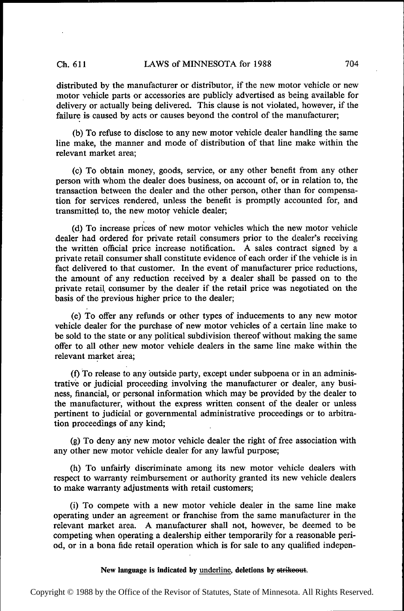distributed by the manufacturer or distributor, if the new motor vehicle or new motor vehicle parts or accessories are publicly advertised as being available for delivery or actually being delivered. This clause is not violated, however, if the failure is caused by acts or causes beyond the control of the manufacturer;

(b) To refuse to disclose to any new motor vehicle dealer handling the same line make, the manner and mode of distribution of that line make within the relevant market area;

(0) To obtain money, goods, service, or any other benefit from any other person with whom the dealer does business, on account of, or in relation to, the transaction between the dealer and the other person, other than for compensation for services rendered, unless the benefit is promptly accounted for, and transmitted to, the new motor vehicle dealer;

((1) To increase prices of new motor vehicles which the new motor vehicle dealer had ordered for private retail consumers prior to the dealer's receiving the written oflicial price increase notification. A sales contract signed by <sup>a</sup> private retail consumer shall constitute evidence of each order if the vehicle is in fact delivered to that customer. In the event of manufacturer price reductions, the amount of any reduction received by a dealer shall be passed on to the private retail consumer by the dealer if the retail price was negotiated on the basis of the previous higher price to the dealer;

(e) To offer any refunds or other types of inducements to any new motor vehicle dealer for the purchase of new motor vehicles of a certain line make to be sold to the state or any political subdivision thereof without making the same offer to all other new motor vehicle dealers in the same line make within the relevant market area;

(D To release to any outside party, except under subpoena or in an administrative or judicial proceeding involving the manufacturer or dealer, any business, financial, or personal information which may be provided by the dealer to the manufacturer, without the express written consent of the dealer or unless pertinent to judicial or governmental administrative proceedings or to arbitration proceedings of any kind;

(g) To deny any new motor vehicle dealer the right of free association with any other new motor vehicle dealer for any lawful purpose;

(h) To unfairly discriminate among its new motor vehicle dealers with respect to warranty reimbursement or authority granted its new vehicle dealers to make warranty adjustments with retail customers;

(i) To compete with a new motor vehicle dealer in the same line make operating under an agreement or franchise from the same manufacturer in the relevant market area. A manufacturer shall not, however, be deemed to be competing when operating a dealership either temporarily for a reasonable period, or in a bona fide retail operation which is for sale to any qualified indepen-

#### New language is indicated by underline, deletions by strikeout.

Copyright © 1988 by the Office of the Revisor of Statutes, State of Minnesota. All Rights Reserved.